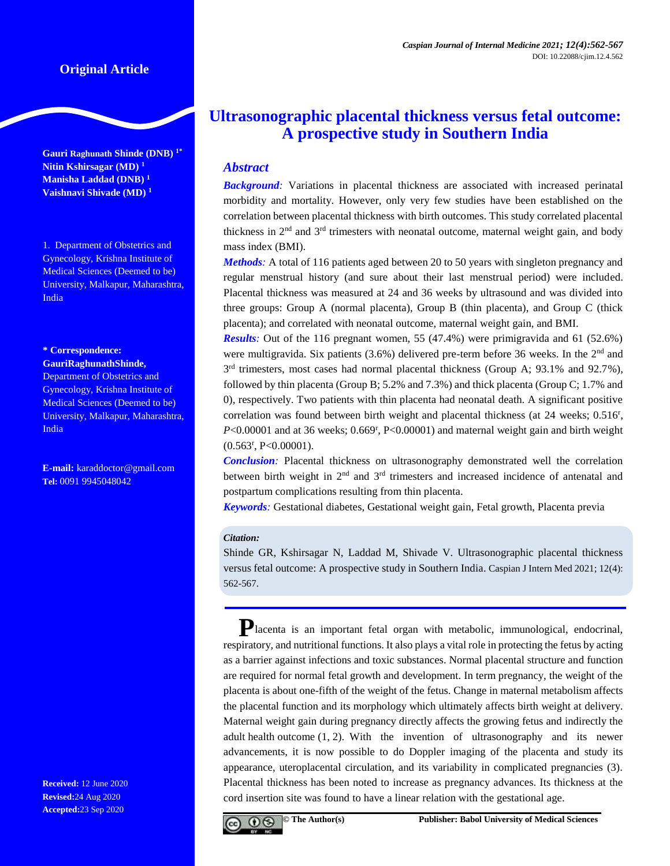## **Original Article**

**Gauri Raghunath Shinde (DNB) 1\* Nitin Kshirsagar (MD) <sup>1</sup> Manisha Laddad (DNB) <sup>1</sup> Vaishnavi Shivade (MD) <sup>1</sup>**

1. Department of Obstetrics and Gynecology, Krishna Institute of Medical Sciences (Deemed to be) University, Malkapur, Maharashtra, India

#### **\* Correspondence: GauriRaghunathShinde,**

Department of Obstetrics and Gynecology, Krishna Institute of Medical Sciences (Deemed to be) University, Malkapur, Maharashtra, India

**E-mail:** [karaddoctor@gmail.com](mailto:karaddoctor@gmail.com) **Tel:** 0091 9945048042

**Received:** 12 June 2020 **Revised:**24 Aug 2020 **Accepted:**23 Sep 2020

# **Ultrasonographic placental thickness versus fetal outcome: A prospective study in Southern India**

## *Abstract*

**Background**: Variations in placental thickness are associated with increased perinatal morbidity and mortality. However, only very few studies have been established on the correlation between placental thickness with birth outcomes. This study correlated placental thickness in 2nd and 3rd trimesters with neonatal outcome, maternal weight gain, and body mass index (BMI).

*Methods:* A total of 116 patients aged between 20 to 50 years with singleton pregnancy and regular menstrual history (and sure about their last menstrual period) were included. Placental thickness was measured at 24 and 36 weeks by ultrasound and was divided into three groups: Group A (normal placenta), Group B (thin placenta), and Group C (thick placenta); and correlated with neonatal outcome, maternal weight gain, and BMI.

*Results:* Out of the 116 pregnant women, 55 (47.4%) were primigravida and 61 (52.6%) were multigravida. Six patients  $(3.6%)$  delivered pre-term before 36 weeks. In the  $2<sup>nd</sup>$  and  $3<sup>rd</sup>$  trimesters, most cases had normal placental thickness (Group A; 93.1% and 92.7%), followed by thin placenta (Group B; 5.2% and 7.3%) and thick placenta (Group C; 1.7% and 0), respectively. Two patients with thin placenta had neonatal death. A significant positive correlation was found between birth weight and placental thickness (at 24 weeks; 0.516<sup>r</sup>, P<0.00001 and at 36 weeks; 0.669<sup>r</sup>, P<0.00001) and maternal weight gain and birth weight (0.563<sup>r</sup> , P<0.00001).

*Conclusion:* Placental thickness on ultrasonography demonstrated well the correlation between birth weight in  $2<sup>nd</sup>$  and  $3<sup>rd</sup>$  trimesters and increased incidence of antenatal and postpartum complications resulting from thin placenta.

*Keywords:* Gestational diabetes, Gestational weight gain, Fetal growth, Placenta previa

#### *Citation:*

Shinde GR, Kshirsagar N, Laddad M, Shivade V. Ultrasonographic placental thickness versus fetal outcome: A prospective study in Southern India. Caspian J Intern Med 2021; 12(4): 562-567.

**P**lacenta is an important fetal organ with metabolic, immunological, endocrinal, respiratory, and nutritional functions. It also plays a vital role in protecting the fetus by acting as a barrier against infections and toxic substances. Normal placental structure and function are required for normal fetal growth and development. In term pregnancy, the weight of the placenta is about one-fifth of the weight of the fetus. Change in maternal metabolism affects the placental function and its morphology which ultimately affects birth weight at delivery. Maternal weight gain during pregnancy directly affects the growing fetus and indirectly the adult health outcome (1, 2). With the invention of ultrasonography and its newer advancements, it is now possible to do Doppler imaging of the placenta and study its appearance, uteroplacental circulation, and its variability in complicated pregnancies (3). Placental thickness has been noted to increase as pregnancy advances. Its thickness at the cord insertion site was found to have a linear relation with the gestational age.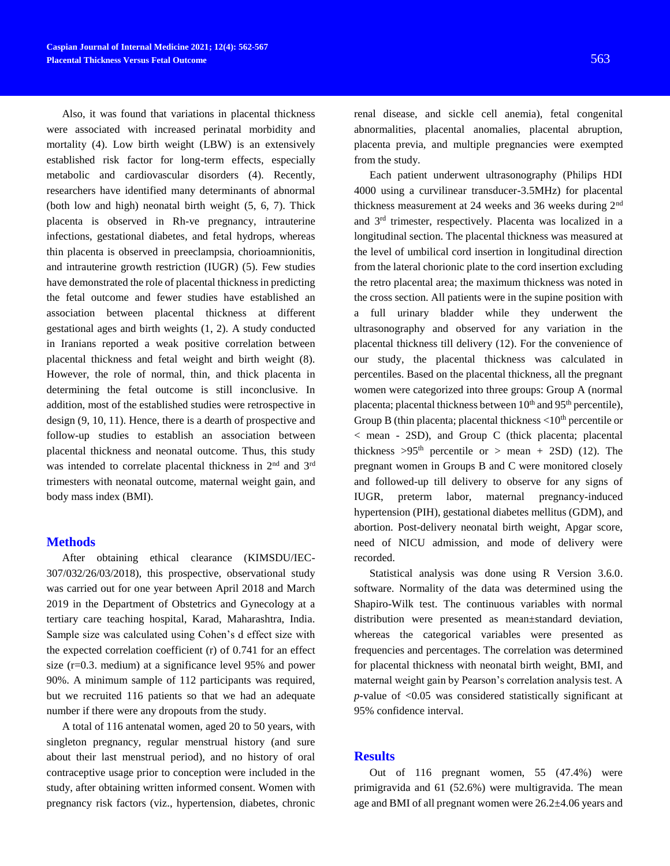Also, it was found that variations in placental thickness were associated with increased perinatal morbidity and mortality (4). Low birth weight (LBW) is an extensively established risk factor for long-term effects, especially metabolic and cardiovascular disorders (4). Recently, researchers have identified many determinants of abnormal (both low and high) neonatal birth weight (5, 6, 7). Thick placenta is observed in Rh-ve pregnancy, intrauterine infections, gestational diabetes, and fetal hydrops, whereas thin placenta is observed in preeclampsia, chorioamnionitis, and intrauterine growth restriction (IUGR) (5). Few studies have demonstrated the role of placental thickness in predicting the fetal outcome and fewer studies have established an association between placental thickness at different gestational ages and birth weights (1, 2). A study conducted in Iranians reported a weak positive correlation between placental thickness and fetal weight and birth weight (8). However, the role of normal, thin, and thick placenta in determining the fetal outcome is still inconclusive. In addition, most of the established studies were retrospective in design (9, 10, 11). Hence, there is a dearth of prospective and follow-up studies to establish an association between placental thickness and neonatal outcome. Thus, this study was intended to correlate placental thickness in 2<sup>nd</sup> and 3<sup>rd</sup> trimesters with neonatal outcome, maternal weight gain, and body mass index (BMI).

#### **Methods**

After obtaining ethical clearance (KIMSDU/IEC-307/032/26/03/2018), this prospective, observational study was carried out for one year between April 2018 and March 2019 in the Department of Obstetrics and Gynecology at a tertiary care teaching hospital, Karad, Maharashtra, India. Sample size was calculated using Cohen's d effect size with the expected correlation coefficient (r) of 0.741 for an effect size (r=0.3. medium) at a significance level 95% and power 90%. A minimum sample of 112 participants was required, but we recruited 116 patients so that we had an adequate number if there were any dropouts from the study.

A total of 116 antenatal women, aged 20 to 50 years, with singleton pregnancy, regular menstrual history (and sure about their last menstrual period), and no history of oral contraceptive usage prior to conception were included in the study, after obtaining written informed consent. Women with pregnancy risk factors (viz., hypertension, diabetes, chronic renal disease, and sickle cell anemia), fetal congenital abnormalities, placental anomalies, placental abruption, placenta previa, and multiple pregnancies were exempted from the study.

Each patient underwent ultrasonography (Philips HDI 4000 using a curvilinear transducer-3.5MHz) for placental thickness measurement at 24 weeks and 36 weeks during 2nd and 3rd trimester, respectively. Placenta was localized in a longitudinal section. The placental thickness was measured at the level of umbilical cord insertion in longitudinal direction from the lateral chorionic plate to the cord insertion excluding the retro placental area; the maximum thickness was noted in the cross section. All patients were in the supine position with a full urinary bladder while they underwent the ultrasonography and observed for any variation in the placental thickness till delivery (12). For the convenience of our study, the placental thickness was calculated in percentiles. Based on the placental thickness, all the pregnant women were categorized into three groups: Group A (normal placenta; placental thickness between  $10<sup>th</sup>$  and  $95<sup>th</sup>$  percentile), Group B (thin placenta; placental thickness  $\langle 10^{th}$  percentile or < mean - 2SD), and Group C (thick placenta; placental thickness  $>95<sup>th</sup>$  percentile or  $>$  mean + 2SD) (12). The pregnant women in Groups B and C were monitored closely and followed-up till delivery to observe for any signs of IUGR, preterm labor, maternal pregnancy-induced hypertension (PIH), gestational diabetes mellitus (GDM), and abortion. Post-delivery neonatal birth weight, Apgar score, need of NICU admission, and mode of delivery were recorded.

Statistical analysis was done using R Version 3.6.0. software. Normality of the data was determined using the Shapiro-Wilk test. The continuous variables with normal distribution were presented as mean±standard deviation, whereas the categorical variables were presented as frequencies and percentages. The correlation was determined for placental thickness with neonatal birth weight, BMI, and maternal weight gain by Pearson's correlation analysis test. A *p-*value of <0.05 was considered statistically significant at 95% confidence interval.

#### **Results**

Out of 116 pregnant women, 55 (47.4%) were primigravida and 61 (52.6%) were multigravida. The mean age and BMI of all pregnant women were 26.2±4.06 years and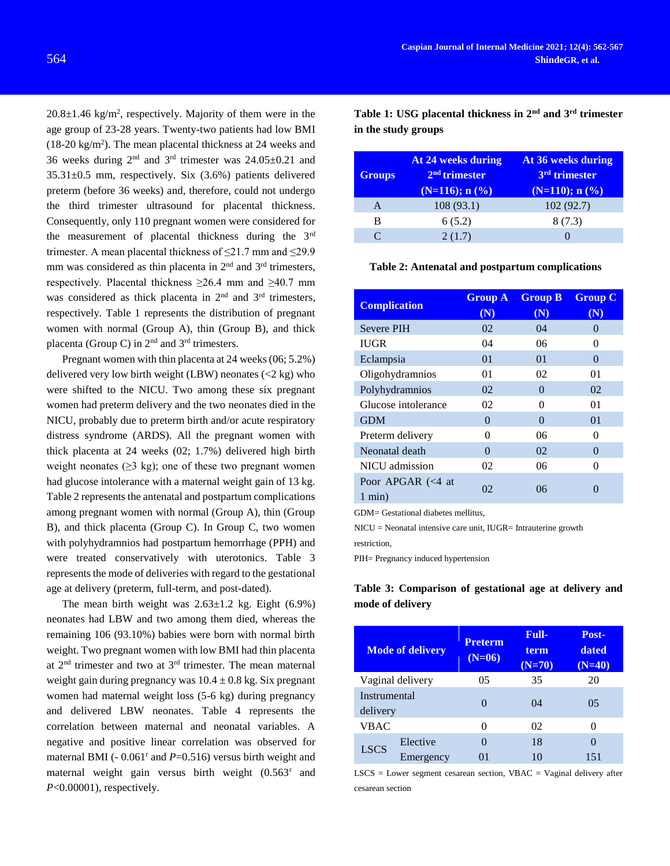$20.8 \pm 1.46$  kg/m<sup>2</sup>, respectively. Majority of them were in the age group of 23-28 years. Twenty-two patients had low BMI  $(18-20 \text{ kg/m}^2)$ . The mean placental thickness at 24 weeks and 36 weeks during  $2<sup>nd</sup>$  and  $3<sup>rd</sup>$  trimester was  $24.05 \pm 0.21$  and 35.31±0.5 mm, respectively. Six (3.6%) patients delivered preterm (before 36 weeks) and, therefore, could not undergo the third trimester ultrasound for placental thickness. Consequently, only 110 pregnant women were considered for the measurement of placental thickness during the  $3<sup>rd</sup>$ trimester. A mean placental thickness of ≤21.7 mm and ≤29.9 mm was considered as thin placenta in  $2<sup>nd</sup>$  and  $3<sup>rd</sup>$  trimesters, respectively. Placental thickness  $\geq 26.4$  mm and  $\geq 40.7$  mm was considered as thick placenta in 2<sup>nd</sup> and 3<sup>rd</sup> trimesters, respectively. Table 1 represents the distribution of pregnant women with normal (Group A), thin (Group B), and thick placenta (Group C) in  $2<sup>nd</sup>$  and  $3<sup>rd</sup>$  trimesters.

Pregnant women with thin placenta at 24 weeks (06; 5.2%) delivered very low birth weight (LBW) neonates  $\langle 2 \text{ kg} \rangle$  who were shifted to the NICU. Two among these six pregnant women had preterm delivery and the two neonates died in the NICU, probably due to preterm birth and/or acute respiratory distress syndrome (ARDS). All the pregnant women with thick placenta at 24 weeks (02; 1.7%) delivered high birth weight neonates  $(\geq 3 \text{ kg})$ ; one of these two pregnant women had glucose intolerance with a maternal weight gain of 13 kg. Table 2 represents the antenatal and postpartum complications among pregnant women with normal (Group A), thin (Group B), and thick placenta (Group C). In Group C, two women with polyhydramnios had postpartum hemorrhage (PPH) and were treated conservatively with uterotonics. Table 3 represents the mode of deliveries with regard to the gestational age at delivery (preterm, full-term, and post-dated).

The mean birth weight was  $2.63 \pm 1.2$  kg. Eight (6.9%) neonates had LBW and two among them died, whereas the remaining 106 (93.10%) babies were born with normal birth weight. Two pregnant women with low BMI had thin placenta at 2nd trimester and two at 3rd trimester. The mean maternal weight gain during pregnancy was  $10.4 \pm 0.8$  kg. Six pregnant women had maternal weight loss (5-6 kg) during pregnancy and delivered LBW neonates. Table 4 represents the correlation between maternal and neonatal variables. A negative and positive linear correlation was observed for maternal BMI  $(-0.061^{\circ}$  and  $P=0.516$ ) versus birth weight and maternal weight gain versus birth weight (0.563<sup>r</sup> and *P*<0.00001), respectively.

**Table 1: USG placental thickness in 2nd and 3rd trimester in the study groups**

| <b>Groups</b>     | At 24 weeks during<br>$2nd$ trimester<br>$(N=116); n (%)$ | At 36 weeks during<br>3 <sup>rd</sup> trimester<br>$(N=110); n (%)$ |
|-------------------|-----------------------------------------------------------|---------------------------------------------------------------------|
| A                 | 108(93.1)                                                 | 102(92.7)                                                           |
| в                 | 6(5.2)                                                    | 8(7.3)                                                              |
| $\mathsf{\Gamma}$ | 2(1.7)                                                    |                                                                     |

#### **Table 2: Antenatal and postpartum complications**

| <b>Complication</b>                  | <b>Group A</b><br>(N) | <b>Group B</b><br>(N) | <b>Group C</b><br>(N) |
|--------------------------------------|-----------------------|-----------------------|-----------------------|
| <b>Severe PIH</b>                    | 02                    | 04                    | $\Omega$              |
| <b>IUGR</b>                          | 04                    | 06                    | 0                     |
| Eclampsia                            | 01<br>01              |                       | $\Omega$              |
| Oligohydramnios                      | 01                    | 02                    | 01                    |
| Polyhydramnios                       | 02                    | $\Omega$              | 02                    |
| Glucose intolerance                  | 02                    | $\mathbf{\Omega}$     | 01                    |
| <b>GDM</b>                           | $\Omega$              | 0                     | 01                    |
| Preterm delivery                     | $\Omega$              | 06                    | $\Omega$              |
| Neonatal death                       | $\Omega$              | 02                    | $\Omega$              |
| NICU admission                       | 02                    | 06                    | 0                     |
| Poor APGAR $\ll 4$ at<br>$1$ min $)$ | 02                    | 06                    |                       |

GDM= Gestational diabetes mellitus,

NICU = Neonatal intensive care unit, IUGR= Intrauterine growth restriction,

PIH= Pregnancy induced hypertension

## **Table 3: Comparison of gestational age at delivery and mode of delivery**

| <b>Mode of delivery</b>         |           | <b>Preterm</b><br>$(N=06)$ | <b>Full-</b><br>term<br>$(N=70)$ | Post-<br>dated<br>$(N=40)$ |
|---------------------------------|-----------|----------------------------|----------------------------------|----------------------------|
| Vaginal delivery                |           | 05                         | 35                               | 20                         |
| <b>Instrumental</b><br>delivery |           |                            | 04                               | 05                         |
| VBAC                            |           | $\mathcal{O}$              | 02                               | $\left( \right)$           |
| <b>LSCS</b>                     | Elective  | 0                          | 18                               |                            |
|                                 | Emergency |                            | 10                               |                            |

 $LSCS = Lower segment cesarean section, VBAC = Vaginal delivery after$ cesarean section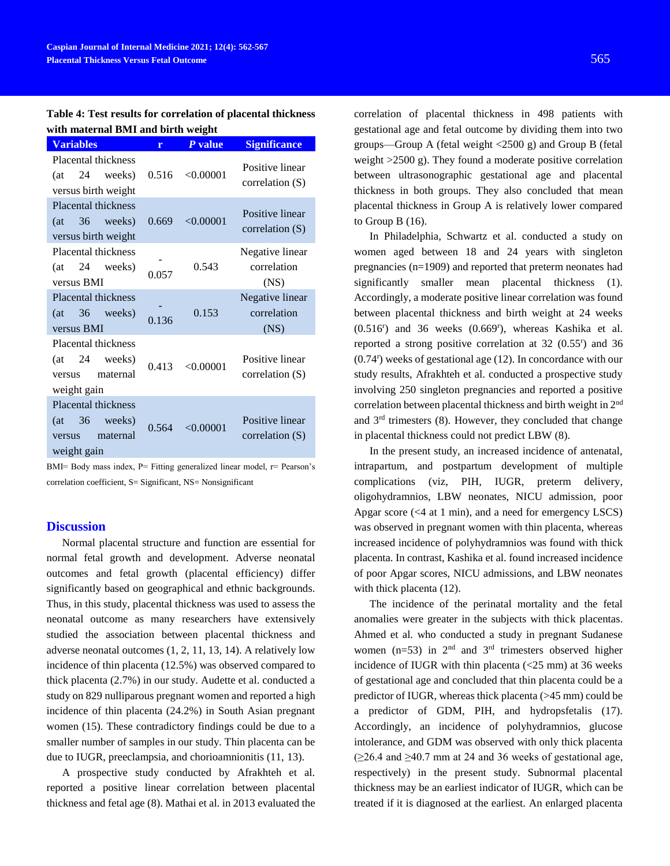**Table 4: Test results for correlation of placental thickness with maternal BMI and birth weight**

| <b>Variables</b>                                                                |       | P value   | <b>Significance</b>                    |
|---------------------------------------------------------------------------------|-------|-----------|----------------------------------------|
| <b>Placental thickness</b><br>24<br>weeks)<br>(at<br>versus birth weight        | 0.516 | < 0.00001 | Positive linear<br>correlation (S)     |
| Placental thickness<br>36 weeks)<br>(at<br>versus birth weight                  | 0.669 | < 0.00001 | Positive linear<br>correlation $(S)$   |
| Placental thickness<br>24<br>weeks)<br>(at<br>versus BMI                        | 0.057 | 0.543     | Negative linear<br>correlation<br>(NS) |
| <b>Placental thickness</b><br>36 weeks)<br>(at<br>versus BMI                    | 0.136 | 0.153     | Negative linear<br>correlation<br>(NS) |
| Placental thickness<br>24<br>(at<br>weeks)<br>maternal<br>versus<br>weight gain | 0.413 | < 0.00001 | Positive linear<br>correlation (S)     |
| Placental thickness<br>36<br>(at<br>weeks)<br>maternal<br>versus<br>weight gain | 0.564 | < 0.00001 | Positive linear<br>correlation (S)     |

BMI= Body mass index, P= Fitting generalized linear model, r= Pearson's correlation coefficient, S= Significant, NS= Nonsignificant

#### **Discussion**

Normal placental structure and function are essential for normal fetal growth and development. Adverse neonatal outcomes and fetal growth (placental efficiency) differ significantly based on geographical and ethnic backgrounds. Thus, in this study, placental thickness was used to assess the neonatal outcome as many researchers have extensively studied the association between placental thickness and adverse neonatal outcomes (1, 2, 11, 13, 14). A relatively low incidence of thin placenta (12.5%) was observed compared to thick placenta (2.7%) in our study. Audette et al. conducted a study on 829 nulliparous pregnant women and reported a high incidence of thin placenta (24.2%) in South Asian pregnant women (15). These contradictory findings could be due to a smaller number of samples in our study. Thin placenta can be due to IUGR, preeclampsia, and chorioamnionitis (11, 13).

A prospective study conducted by Afrakhteh et al. reported a positive linear correlation between placental thickness and fetal age (8). Mathai et al. in 2013 evaluated the

correlation of placental thickness in 498 patients with gestational age and fetal outcome by dividing them into two groups—Group A (fetal weight <2500 g) and Group B (fetal weight >2500 g). They found a moderate positive correlation between ultrasonographic gestational age and placental thickness in both groups. They also concluded that mean placental thickness in Group A is relatively lower compared to Group B (16).

In Philadelphia, Schwartz et al. conducted a study on women aged between 18 and 24 years with singleton pregnancies (n=1909) and reported that preterm neonates had significantly smaller mean placental thickness (1). Accordingly, a moderate positive linear correlation was found between placental thickness and birth weight at 24 weeks  $(0.516<sup>r</sup>)$  and 36 weeks  $(0.669<sup>r</sup>)$ , whereas Kashika et al. reported a strong positive correlation at 32 (0.55<sup>r</sup> ) and 36 (0.74<sup>r</sup> ) weeks of gestational age (12). In concordance with our study results, Afrakhteh et al. conducted a prospective study involving 250 singleton pregnancies and reported a positive correlation between placental thickness and birth weight in 2nd and 3rd trimesters (8). However, they concluded that change in placental thickness could not predict LBW (8).

In the present study, an increased incidence of antenatal, intrapartum, and postpartum development of multiple complications (viz, PIH, IUGR, preterm delivery, oligohydramnios, LBW neonates, NICU admission, poor Apgar score (<4 at 1 min), and a need for emergency LSCS) was observed in pregnant women with thin placenta, whereas increased incidence of polyhydramnios was found with thick placenta. In contrast, Kashika et al. found increased incidence of poor Apgar scores, NICU admissions, and LBW neonates with thick placenta (12).

The incidence of the perinatal mortality and the fetal anomalies were greater in the subjects with thick placentas. Ahmed et al. who conducted a study in pregnant Sudanese women  $(n=53)$  in  $2<sup>nd</sup>$  and  $3<sup>rd</sup>$  trimesters observed higher incidence of IUGR with thin placenta (<25 mm) at 36 weeks of gestational age and concluded that thin placenta could be a predictor of IUGR, whereas thick placenta (>45 mm) could be a predictor of GDM, PIH, and hydropsfetalis (17). Accordingly, an incidence of polyhydramnios, glucose intolerance, and GDM was observed with only thick placenta  $(\geq 26.4$  and  $\geq 40.7$  mm at 24 and 36 weeks of gestational age, respectively) in the present study. Subnormal placental thickness may be an earliest indicator of IUGR, which can be treated if it is diagnosed at the earliest. An enlarged placenta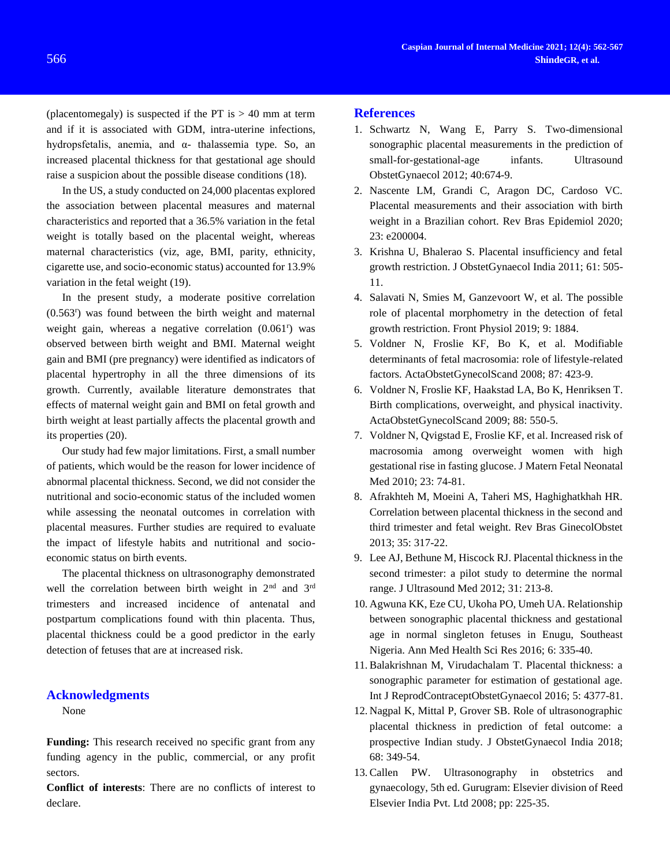(placentomegaly) is suspected if the PT is  $> 40$  mm at term and if it is associated with GDM, intra-uterine infections, hydropsfetalis, anemia, and α- thalassemia type. So, an increased placental thickness for that gestational age should raise a suspicion about the possible disease conditions (18).

In the US, a study conducted on 24,000 placentas explored the association between placental measures and maternal characteristics and reported that a 36.5% variation in the fetal weight is totally based on the placental weight, whereas maternal characteristics (viz, age, BMI, parity, ethnicity, cigarette use, and socio-economic status) accounted for 13.9% variation in the fetal weight (19).

In the present study, a moderate positive correlation (0.563<sup>r</sup> ) was found between the birth weight and maternal weight gain, whereas a negative correlation (0.061<sup>r</sup>) was observed between birth weight and BMI. Maternal weight gain and BMI (pre pregnancy) were identified as indicators of placental hypertrophy in all the three dimensions of its growth. Currently, available literature demonstrates that effects of maternal weight gain and BMI on fetal growth and birth weight at least partially affects the placental growth and its properties (20).

Our study had few major limitations. First, a small number of patients, which would be the reason for lower incidence of abnormal placental thickness. Second, we did not consider the nutritional and socio-economic status of the included women while assessing the neonatal outcomes in correlation with placental measures. Further studies are required to evaluate the impact of lifestyle habits and nutritional and socioeconomic status on birth events.

The placental thickness on ultrasonography demonstrated well the correlation between birth weight in 2<sup>nd</sup> and 3<sup>rd</sup> trimesters and increased incidence of antenatal and postpartum complications found with thin placenta. Thus, placental thickness could be a good predictor in the early detection of fetuses that are at increased risk.

#### **Acknowledgments**

None

**Funding:** This research received no specific grant from any funding agency in the public, commercial, or any profit sectors.

**Conflict of interests**: There are no conflicts of interest to declare.

### **References**

- 1. Schwartz N, Wang E, Parry S. Two-dimensional sonographic placental measurements in the prediction of small-for-gestational-age infants. Ultrasound ObstetGynaecol 2012; 40:674-9.
- 2. Nascente LM, Grandi C, Aragon DC, Cardoso VC. Placental measurements and their association with birth weight in a Brazilian cohort. Rev Bras Epidemiol 2020; 23: e200004.
- 3. Krishna U, Bhalerao S. Placental insufficiency and fetal growth restriction. J ObstetGynaecol India 2011; 61: 505- 11.
- 4. Salavati N, Smies M, Ganzevoort W, et al. The possible role of placental morphometry in the detection of fetal growth restriction. Front Physiol 2019; 9: 1884.
- 5. Voldner N, Froslie KF, Bo K, et al. Modifiable determinants of fetal macrosomia: role of lifestyle-related factors. ActaObstetGynecolScand 2008; 87: 423-9.
- 6. Voldner N, Froslie KF, Haakstad LA, Bo K, Henriksen T. Birth complications, overweight, and physical inactivity. ActaObstetGynecolScand 2009; 88: 550-5.
- 7. Voldner N, Qvigstad E, Froslie KF, et al. Increased risk of macrosomia among overweight women with high gestational rise in fasting glucose. J Matern Fetal Neonatal Med 2010; 23: 74-81.
- 8. Afrakhteh M, Moeini A, Taheri MS, Haghighatkhah HR. Correlation between placental thickness in the second and third trimester and fetal weight. Rev Bras GinecolObstet 2013; 35: 317-22.
- 9. Lee AJ, Bethune M, Hiscock RJ. Placental thickness in the second trimester: a pilot study to determine the normal range. J Ultrasound Med 2012; 31: 213-8.
- 10. Agwuna KK, Eze CU, Ukoha PO, Umeh UA. Relationship between sonographic placental thickness and gestational age in normal singleton fetuses in Enugu, Southeast Nigeria. Ann Med Health Sci Res 2016; 6: 335-40.
- 11. Balakrishnan M, Virudachalam T. Placental thickness: a sonographic parameter for estimation of gestational age. Int J ReprodContraceptObstetGynaecol 2016; 5: 4377-81.
- 12. Nagpal K, Mittal P, Grover SB. Role of ultrasonographic placental thickness in prediction of fetal outcome: a prospective Indian study. J ObstetGynaecol India 2018; 68: 349-54.
- 13. Callen PW. Ultrasonography in obstetrics and gynaecology, 5th ed. Gurugram: Elsevier division of Reed Elsevier India Pvt. Ltd 2008; pp: 225-35.